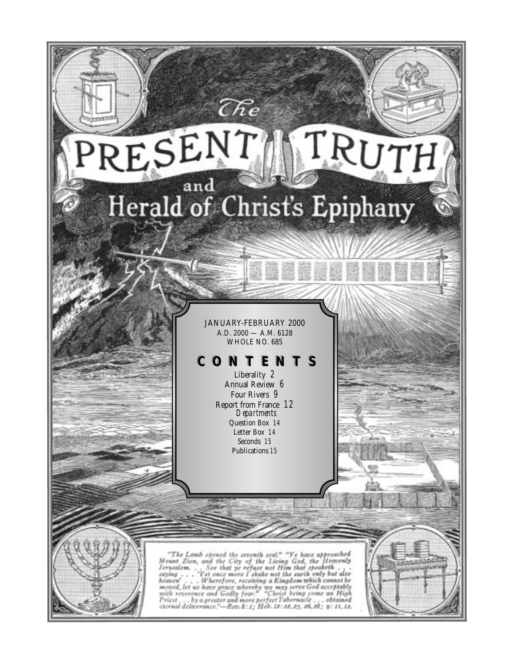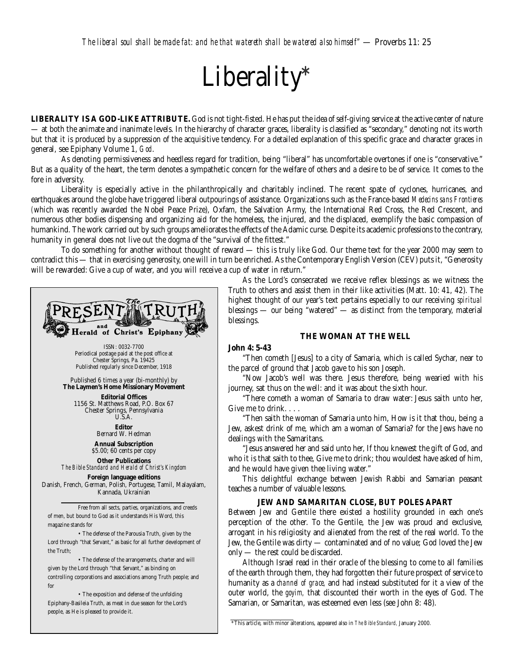# Liberality**\***

**LIBERALITY IS A GOD-LIKE ATTRIBUTE.** God is not tight-fisted. He has put the idea of self-giving service at the active center of nature — at both the animate and inanimate levels. In the hierarchy of character graces, liberality is classified as "secondary," denoting not its worth but that it is produced by a suppression of the acquisitive tendency. For a detailed explanation of this specific grace and character graces in general, see Epiphany Volume 1, *God*.

As denoting permissiveness and heedless regard for tradition, being "liberal" has uncomfortable overtones if one is "conservative." But as a quality of the heart, the term denotes a sympathetic concern for the welfare of others and a desire to be of service. It comes to the fore in adversity.

Liberality is especially active in the philanthropically and charitably inclined. The recent spate of cyclones, hurricanes, and earthquakes around the globe have triggered liberal outpourings of assistance. Organizations such as the France-based *Medecins sans Frontieres (*which was recently awarded the Nobel Peace Prize), Oxfam, the Salvation Army, the International Red Cross, the Red Crescent, and numerous other bodies dispensing and organizing aid for the homeless, the injured, and the displaced, exemplify the basic compassion of humankind. The work carried out by such groups ameliorates the effects of the Adamic curse. Despite its academic professions to the contrary, humanity in general does not live out the dogma of the "survival of the fittest."

To do something for another without thought of reward — this is truly like God. Our theme text for the year 2000 may seem to contradict this — that in exercising generosity, one will in turn be enriched. As the Contemporary English Version (CEV) puts it, "Generosity will be rewarded: Give a cup of water, and you will receive a cup of water in return."



• The exposition and defense of the unfolding Epiphany-Basileia Truth, as meat in due season for the Lord's people, as He is pleased to provide it.

As the Lord's consecrated we receive reflex blessings as we witness the Truth to others and assist them in their like activities (Matt. 10: 41, 42). The highest thought of our year's text pertains especially to our receiving *spiritual* blessings — our being "watered" — as distinct from the temporary, material blessings.

#### **THE WOMAN AT THE WELL**

#### **John 4: 5-43**

"Then cometh [Jesus] to a city of Samaria, which is called Sychar, near to the parcel of ground that Jacob gave to his son Joseph.

"Now Jacob's well was there. Jesus therefore, being wearied with his journey, sat thus on the well: and it was about the sixth hour.

"There cometh a woman of Samaria to draw water: Jesus saith unto her, Give me to drink. . . .

"Then saith the woman of Samaria unto him, How is it that thou, being a Jew, askest drink of me, which am a woman of Samaria? for the Jews have no dealings with the Samaritans.

"Jesus answered her and said unto her, If thou knewest the gift of God, and who it is that saith to thee, Give me to drink; thou wouldest have asked of him, and he would have given thee living water."

This delightful exchange between Jewish Rabbi and Samarian peasant teaches a number of valuable lessons.

#### **JEW AND SAMARITAN CLOSE, BUT POLES APART**

Between Jew and Gentile there existed a hostility grounded in each one's perception of the other. To the Gentile, the Jew was proud and exclusive, arrogant in his religiosity and alienated from the rest of the real world. To the Jew, the Gentile was dirty — contaminated and of no value; God loved the Jew only — the rest could be discarded.

Although Israel read in their oracle of the blessing to come to all families of the earth through them, they had forgotten their future prospect of service to humanity as a *channel of grace,* and had instead substituted for it a view of the outer world, the *goyim,* that discounted their worth in the eyes of God. The Samarian, or Samaritan, was esteemed even less (see John 8: 48).

<sup>\*</sup>This article, with minor alterations, appeared also in *The Bible Standard,* January 2000.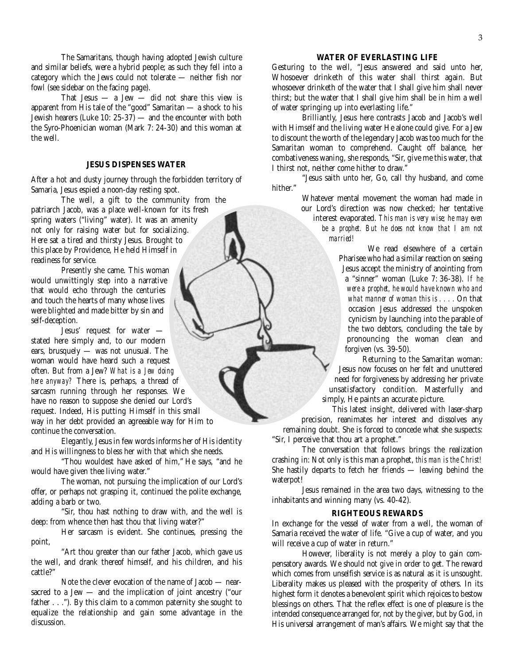The Samaritans, though having adopted Jewish culture and similar beliefs, were a hybrid people; as such they fell into a category which the Jews could not tolerate — neither fish nor fowl (see sidebar on the facing page).

That Jesus  $-$  a Jew  $-$  did not share this view is apparent from His tale of the "good" Samaritan — a shock to his Jewish hearers (Luke 10: 25-37) — and the encounter with both the Syro-Phoenician woman (Mark 7: 24-30) and this woman at the well.

#### **JESUS DISPENSES WATER**

After a hot and dusty journey through the forbidden territory of Samaria, Jesus espied a noon-day resting spot.

The well, a gift to the community from the patriarch Jacob, was a place well-known for its fresh spring waters ("living" water). It was an amenity not only for raising water but for socializing. Here sat a tired and thirsty Jesus. Brought to this place by Providence, He held Himself in readiness for service*.*

Presently she came. This woman would unwittingly step into a narrative that would echo through the centuries and touch the hearts of many whose lives were blighted and made bitter by sin and self-deception.

Jesus' request for water stated here simply and, to our modern ears, brusquely — was not unusual. The woman would have heard such a request often. But from a Jew? *What is a Jew doing here anyway?* There is, perhaps, a thread of sarcasm running through her responses. We have no reason to suppose she denied our Lord's request. Indeed, His putting Himself in this small way in her debt provided an agreeable way for Him to continue the conversation.

Elegantly, Jesus in few words informs her of His identity and His willingness to bless her with that which she needs.

"Thou wouldest have asked of him," He says, "and he would have given thee living water."

The woman, not pursuing the implication of our Lord's offer, or perhaps not grasping it, continued the polite exchange, adding a barb or two.

"Sir, thou hast nothing to draw with, and the well is deep: from whence then hast thou that living water?"

Her sarcasm is evident. She continues, pressing the point,

"Art thou greater than our father Jacob, which gave us the well, and drank thereof himself, and his children, and his cattle?"

Note the clever evocation of the name of Jacob — nearsacred to a Jew — and the implication of joint ancestry ("our father . . ."). By this claim to a common paternity she sought to equalize the relationship and gain some advantage in the discussion.

#### **WATER OF EVERLASTING LIFE**

Gesturing to the well, "Jesus answered and said unto her, Whosoever drinketh of this water shall thirst again. But whosoever drinketh of the water that I shall give him shall never thirst; but the water that I shall give him shall be in him a well of water springing up into everlasting life."

Brilliantly, Jesus here contrasts Jacob and Jacob's well with Himself and the living water He alone could give. For a Jew to discount the worth of the legendary Jacob was too much for the Samaritan woman to comprehend. Caught off balance, her combativeness waning, she responds, "Sir, give me this water, that I thirst not, neither come hither to draw."

"Jesus saith unto her, Go, call thy husband, and come hither."

> Whatever mental movement the woman had made in our Lord's direction was now checked; her tentative interest evaporated. *This man is very wise; he may even be a prophet. But he does not know that I am not married!*

> > We read elsewhere of a certain Pharisee who had a similar reaction on seeing Jesus accept the ministry of anointing from a "sinner" woman (Luke 7: 36-38). *If he were a prophet, he would have known who and what manner of woman this is . . . .* On that occasion Jesus addressed the unspoken cynicism by launching into the parable of the two debtors, concluding the tale by pronouncing the woman clean and forgiven (vs. 39-50).

Returning to the Samaritan woman: Jesus now focuses on her felt and unuttered need for forgiveness by addressing her private unsatisfactory condition. Masterfully and simply, He paints an accurate picture.

This latest insight, delivered with laser-sharp

precision, reanimates her interest and dissolves any remaining doubt. She is forced to concede what she suspects: "Sir, I perceive that thou art a prophet."

The conversation that follows brings the realization crashing in: Not only is this man a prophet, *this man is the Christ!* She hastily departs to fetch her friends — leaving behind the waterpot!

Jesus remained in the area two days, witnessing to the inhabitants and winning many (vs. 40-42).

#### **RIGHTEOUS REWARDS**

In exchange for the vessel of water from a well, the woman of Samaria received the water of life. "Give a cup of water, and you will receive a cup of water in return."

However, liberality is not merely a ploy to gain compensatory awards. We should not give in order to get. The reward which comes from unselfish service is as natural as it is unsought. Liberality makes us pleased with the prosperity of others. In its highest form it denotes a benevolent spirit which rejoices to bestow blessings on others. That the reflex effect is one of pleasure is the intended consequence arranged for, not by the giver, but by God, in His universal arrangement of man's affairs. We might say that the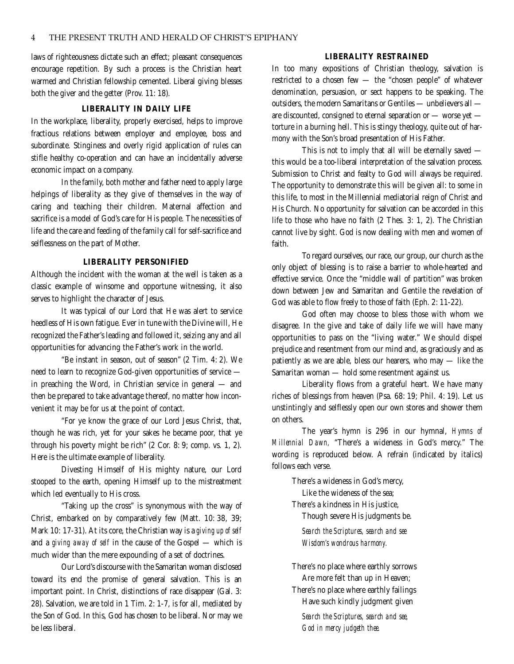laws of righteousness dictate such an effect; pleasant consequences encourage repetition. By such a process is the Christian heart warmed and Christian fellowship cemented. Liberal giving blesses both the giver and the getter (Prov. 11: 18).

#### **LIBERALITY IN DAILY LIFE**

In the workplace, liberality, properly exercised, helps to improve fractious relations between employer and employee, boss and subordinate. Stinginess and overly rigid application of rules can stifle healthy co-operation and can have an incidentally adverse economic impact on a company.

In the family, both mother and father need to apply large helpings of liberality as they give of themselves in the way of caring and teaching their children. Maternal affection and sacrifice is a model of God's care for His people. The necessities of life and the care and feeding of the family call for self-sacrifice and selflessness on the part of Mother.

#### **LIBERALITY PERSONIFIED**

Although the incident with the woman at the well is taken as a classic example of winsome and opportune witnessing, it also serves to highlight the character of Jesus.

It was typical of our Lord that He was alert to service heedless of His own fatigue. Ever in tune with the Divine will, He recognized the Father's leading and followed it, seizing any and all opportunities for advancing the Father's work in the world.

"Be instant in season, out of season" (2 Tim. 4: 2). We need to learn to recognize God-given opportunities of service in preaching the Word, in Christian service in general — and then be prepared to take advantage thereof, no matter how inconvenient it may be for us at the point of contact.

"For ye know the grace of our Lord Jesus Christ, that, though he was rich, yet for your sakes he became poor, that ye through his poverty might be rich" (2 Cor. 8: 9; comp. vs. 1, 2). Here is the ultimate example of liberality.

Divesting Himself of His mighty nature, our Lord stooped to the earth, opening Himself up to the mistreatment which led eventually to His cross.

"Taking up the cross" is synonymous with the way of Christ, embarked on by comparatively few (Matt. 10: 38, 39; Mark 10: 17-31). At its core, the Christian way is a *giving up of self* and a *giving away of self* in the cause of the Gospel — which is much wider than the mere expounding of a set of doctrines.

Our Lord's discourse with the Samaritan woman disclosed toward its end the promise of general salvation. This is an important point. In Christ, distinctions of race disappear (Gal. 3: 28). Salvation, we are told in 1 Tim. 2: 1-7, is for all, mediated by the Son of God. In this, God has chosen to be liberal. Nor may we be less liberal.

#### **LIBERALITY RESTRAINED**

In too many expositions of Christian theology, salvation is restricted to a chosen few — the "chosen people" of whatever denomination, persuasion, or sect happens to be speaking. The outsiders, the modern Samaritans or Gentiles — unbelievers all are discounted, consigned to eternal separation or — worse yet torture in a burning hell. This is stingy theology, quite out of harmony with the Son's broad presentation of His Father.

This is not to imply that all will be eternally saved this would be a too-liberal interpretation of the salvation process. Submission to Christ and fealty to God will always be required. The opportunity to demonstrate this will be given all: to some in this life, to most in the Millennial mediatorial reign of Christ and His Church. No opportunity for salvation can be accorded in this life to those who have no faith (2 Thes. 3: 1, 2). The Christian cannot live by sight. God is now dealing with men and women of faith.

To regard ourselves, our race, our group, our church as the only object of blessing is to raise a barrier to whole-hearted and effective service. Once the "middle wall of partition" was broken down between Jew and Samaritan and Gentile the revelation of God was able to flow freely to those of faith (Eph. 2: 11-22).

God often may choose to bless those with whom we disagree. In the give and take of daily life we will have many opportunities to pass on the "living water." We should dispel prejudice and resentment from our mind and, as graciously and as patiently as we are able, bless our hearers, who may — like the Samaritan woman — hold some resentment against us.

Liberality flows from a grateful heart. We have many riches of blessings from heaven (Psa. 68: 19; Phil. 4: 19). Let us unstintingly and selflessly open our own stores and shower them on others.

The year's hymn is 296 in our hymnal, *Hymns of Millennial Dawn,* "There's a wideness in God's mercy." The wording is reproduced below. A refrain (indicated by italics) follows each verse.

There's a wideness in God's mercy,

Like the wideness of the sea;

There's a kindness in His justice,

Though severe His judgments be.

*Search the Scriptures, search and see Wisdom's wondrous harmony.*

There's no place where earthly sorrows Are more felt than up in Heaven;

There's no place where earthly failings Have such kindly judgment given

*Search the Scriptures, search and see, God in mercy judgeth thee.*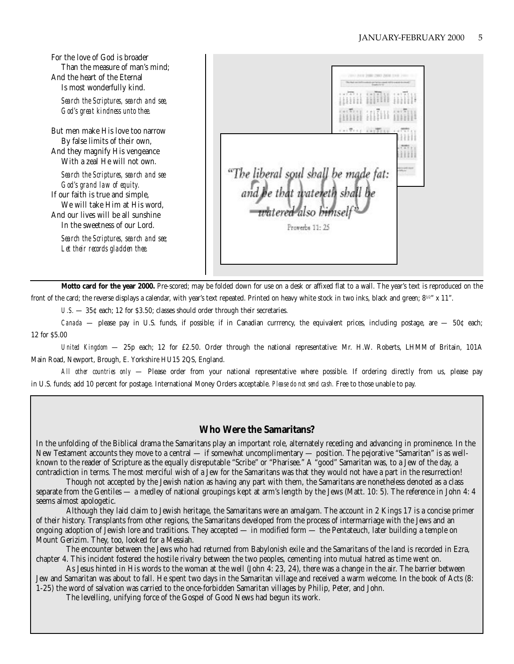For the love of God is broader Than the measure of man's mind; And the heart of the Eternal Is most wonderfully kind.

*Search the Scriptures, search and see, God's great kindness unto thee.*

But men make His love too narrow By false limits of their own, And they magnify His vengeance With a zeal He will not own.

*Search the Scriptures, search and see God's grand law of equity.* If our faith is true and simple, We will take Him at His word, And our lives will be all sunshine In the sweetness of our Lord.

*Search the Scriptures, search and see; Let their records gladden thee.*

"The liberal soul shall be made fat:<br>and he that watereth shall be<br>watered also himself Proverbs 11: 25

**Motto card for the year 2000.** Pre-scored; may be folded down for use on a desk or affixed flat to a wall. The year's text is reproduced on the front of the card; the reverse displays a calendar, with year's text repeated. Printed on heavy white stock in two inks, black and green;  $8^{1/2}$ " x 11".

*U.S.*  $-$  35¢ each; 12 for \$3.50; classes should order through their secretaries.

*Canada* — please pay in U.S. funds, if possible; if in Canadian currrency, the equivalent prices, including postage, are — 50¢ each; 12 for \$5.00

*United Kingdom* — 25p each; 12 for £2.50. Order through the national representative: Mr. H.W. Roberts, LHMM of Britain, 101A Main Road, Newport, Brough, E. Yorkshire HU15 2QS, England.

*All other countries only* — Please order from your national representative where possible. If ordering directly from us, please pay in U.S. funds; add 10 percent for postage. International Money Orders acceptable. *Please do not send cash.* Free to those unable to pay.

#### **Who Were the Samaritans?**

In the unfolding of the Biblical drama the Samaritans play an important role, alternately receding and advancing in prominence. In the New Testament accounts they move to a central — if somewhat uncomplimentary — position. The pejorative "Samaritan" is as wellknown to the reader of Scripture as the equally disreputable "Scribe" or "Pharisee." A "good" Samaritan was, to a Jew of the day, a contradiction in terms. The most merciful wish of a Jew for the Samaritans was that they would not have a part in the resurrection!

Though not accepted by the Jewish nation as having any part with them, the Samaritans are nonetheless denoted as a class separate from the Gentiles — a medley of national groupings kept at arm's length by the Jews (Matt. 10: 5). The reference in John 4: 4 seems almost apologetic.

Although they laid claim to Jewish heritage, the Samaritans were an amalgam. The account in 2 Kings 17 is a concise primer of their history. Transplants from other regions, the Samaritans developed from the process of intermarriage with the Jews and an ongoing adoption of Jewish lore and traditions. They accepted — in modified form — the Pentateuch, later building a temple on Mount Gerizim. They, too, looked for a Messiah.

The encounter between the Jews who had returned from Babylonish exile and the Samaritans of the land is recorded in Ezra, chapter 4. This incident fostered the hostile rivalry between the two peoples, cementing into mutual hatred as time went on.

As Jesus hinted in His words to the woman at the well (John 4: 23, 24), there was a change in the air. The barrier between Jew and Samaritan was about to fall. He spent two days in the Samaritan village and received a warm welcome. In the book of Acts (8: 1-25) the word of salvation was carried to the once-forbidden Samaritan villages by Philip, Peter, and John.

The levelling, unifying force of the Gospel of Good News had begun its work.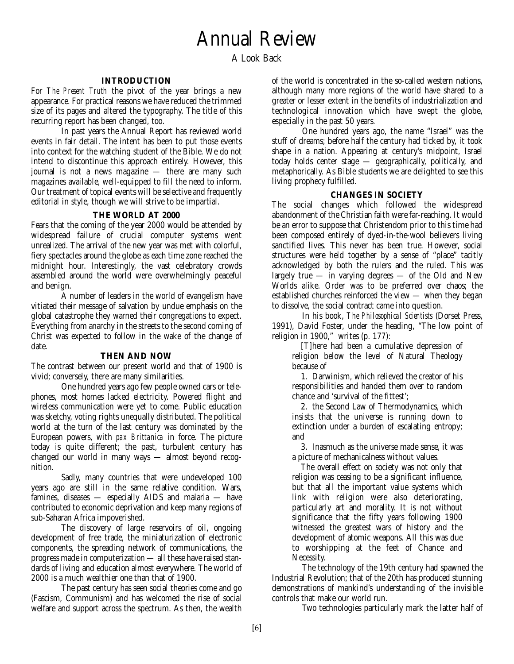A Look Back

#### **INTRODUCTION**

For *The Present Truth* the pivot of the year brings a new appearance. For practical reasons we have reduced the trimmed size of its pages and altered the typography. The title of this recurring report has been changed, too.

In past years the Annual Report has reviewed world events in fair detail. The intent has been to put those events into context for the watching student of the Bible. We do not intend to discontinue this approach entirely. However, this journal is not a news magazine — there are many such magazines available, well-equipped to fill the need to inform. Our treatment of topical events will be selective and frequently editorial in style, though we will strive to be impartial.

#### **THE WORLD AT 2000**

Fears that the coming of the year 2000 would be attended by widespread failure of crucial computer systems went unrealized. The arrival of the new year was met with colorful, fiery spectacles around the globe as each time zone reached the midnight hour. Interestingly, the vast celebratory crowds assembled around the world were overwhelmingly peaceful and benign.

A number of leaders in the world of evangelism have vitiated their message of salvation by undue emphasis on the global catastrophe they warned their congregations to expect. Everything from anarchy in the streets to the second coming of Christ was expected to follow in the wake of the change of date.

#### **THEN AND NOW**

The contrast between our present world and that of 1900 is vivid; conversely, there are many similarities.

One hundred years ago few people owned cars or telephones, most homes lacked electricity. Powered flight and wireless communication were yet to come. Public education was sketchy, voting rights unequally distributed. The political world at the turn of the last century was dominated by the European powers, with *pax Brittanica* in force. The picture today is quite different; the past, turbulent century has changed our world in many ways — almost beyond recognition.

Sadly, many countries that were undeveloped 100 years ago are still in the same relative condition. Wars, famines, diseases — especially AIDS and malaria — have contributed to economic deprivation and keep many regions of sub-Saharan Africa impoverished.

The discovery of large reservoirs of oil, ongoing development of free trade, the miniaturization of electronic components, the spreading network of communications, the progress made in computerization — all these have raised standards of living and education almost everywhere. The world of 2000 is a much wealthier one than that of 1900.

The past century has seen social theories come and go (Fascism, Communism) and has welcomed the rise of social welfare and support across the spectrum. As then, the wealth

of the world is concentrated in the so-called western nations, although many more regions of the world have shared to a greater or lesser extent in the benefits of industrialization and technological innovation which have swept the globe, especially in the past 50 years.

One hundred years ago, the name "Israel" was the stuff of dreams; before half the century had ticked by, it took shape in a nation. Appearing at century's midpoint, Israel today holds center stage — geographically, politically, and metaphorically. As Bible students we are delighted to see this living prophecy fulfilled.

#### **CHANGES IN SOCIETY**

The social changes which followed the widespread abandonment of the Christian faith were far-reaching. It would be an error to suppose that Christendom prior to this time had been composed entirely of dyed-in-the-wool believers living sanctified lives. This never has been true. However, social structures were held together by a sense of "place" tacitly acknowledged by both the rulers and the ruled. This was largely true  $-$  in varying degrees  $-$  of the Old and New Worlds alike. Order was to be preferred over chaos; the established churches reinforced the view — when they began to dissolve, the social contract came into question.

In his book, *The Philosophical Scientists* (Dorset Press, 1991), David Foster, under the heading, "The low point of religion in 1900," writes (p. 177):

[T]here had been a cumulative depression of religion below the level of Natural Theology because of

1. Darwinism, which relieved the creator of his responsibilities and handed them over to random chance and 'survival of the fittest';

2. the Second Law of Thermodynamics, which insists that the universe is running down to extinction under a burden of escalating entropy; and

3. Inasmuch as the universe made sense, it was a picture of mechanicalness without values.

The overall effect on society was not only that religion was ceasing to be a significant influence, but that all the important value systems which link with religion were also deteriorating, particularly art and morality. It is not without significance that the fifty years following 1900 witnessed the greatest wars of history and the development of atomic weapons. All this was due to worshipping at the feet of Chance and Necessity.

The technology of the 19th century had spawned the Industrial Revolution; that of the 20th has produced stunning demonstrations of mankind's understanding of the invisible controls that make our world run.

Two technologies particularly mark the latter half of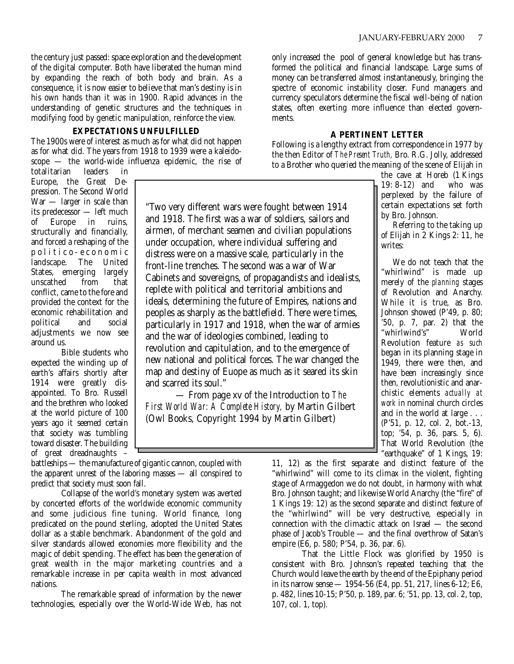the century just passed: space exploration and the development of the digital computer. Both have liberated the human mind by expanding the reach of both body and brain. As a consequence, it is now easier to believe that man's destiny is in his own hands than it was in 1900. Rapid advances in the understanding of genetic structures and the techniques in modifying food by genetic manipulation, reinforce the view.

#### **EXPECTATIONS UNFULFILLED**

The 1900s were of interest as much as for what did not happen as for what did. The years from 1918 to 1939 were a kaleidoscope — the world-wide influenza epidemic, the rise of

totalitarian leaders in Europe, the Great Depression. The Second World War — larger in scale than its predecessor — left much Europe in ruins, structurally and financially, and forced a reshaping of the politico-economic landscape. The United States, emerging largely unscathed from that conflict, came to the fore and provided the context for the economic rehabilitation and political and social adjustments we now see around us.

Bible students who expected the winding up of earth's affairs shortly after 1914 were greatly disappointed. To Bro. Russell and the brethren who looked at the world picture of 100 years ago it seemed certain that society was tumbling toward disaster. The building of great dreadnaughts –

"Two very different wars were fought between 1914 and 1918. The first was a war of soldiers, sailors and airmen, of merchant seamen and civilian populations under occupation, where individual suffering and distress were on a massive scale, particularly in the front-line trenches. The second was a war of War Cabinets and sovereigns, of propagandists and idealists, replete with political and territorial ambitions and ideals, determining the future of Empires, nations and peoples as sharply as the battlefield. There were times, particularly in 1917 and 1918, when the war of armies and the war of ideologies combined, leading to revolution and capitulation, and to the emergence of new national and political forces. The war changed the map and destiny of Euope as much as it seared its skin and scarred its soul."

— From page xv of the Introduction to *The First World War: A Complete History,* by Martin Gilbert (Owl Books, Copyright 1994 by Martin Gilbert)

battleships — the manufacture of gigantic cannon, coupled with the apparent unrest of the laboring masses — all conspired to predict that society must soon fall.

Collapse of the world's monetary system was averted by concerted efforts of the worldwide economic community and some judicious fine tuning. World finance, long predicated on the pound sterling, adopted the United States dollar as a stable benchmark. Abandonment of the gold and silver standards allowed economies more flexibility and the magic of debit spending. The effect has been the generation of great wealth in the major marketing countries and a remarkable increase in per capita wealth in most advanced nations.

The remarkable spread of information by the newer technologies, especially over the World-Wide Web, has not

only increased the pool of general knowledge but has transformed the political and financial landscape. Large sums of money can be transferred almost instantaneously, bringing the spectre of economic instability closer. Fund managers and currency speculators determine the fiscal well-being of nation states, often exerting more influence than elected governments.

#### **A PERTINENT LETTER**

Following is a lengthy extract from correspondence in 1977 by the then Editor of *The Present Truth,* Bro. R.G. Jolly, addressed to a Brother who queried the meaning of the scene of Elijah in

> the cave at Horeb (1 Kings 19: 8-12) and who was perplexed by the failure of certain expectations set forth by Bro. Johnson.

Referring to the taking up of Elijah in 2 Kings 2: 11, he writes:

We do not teach that the "whirlwind" is made up merely of the *planning* stages of Revolution and Anarchy. While it is true, as Bro. Johnson showed (P'49, p. 80; '50, p. 7, par. 2) that the "whirlwind's" World Revolution feature *as such* began in its planning stage in 1949, there were then, and have been increasingly since then, revolutionistic and anarchistic elements *actually at work* in nominal church circles and in the world at large . . . (P'51, p. 12, col. 2, bot.-13, top; '54, p. 36, pars. 5, 6). That World Revolution (the "earthquake" of 1 Kings, 19:

11, 12) as the first separate and distinct feature of the "whirlwind" will come to its climax in the violent, fighting stage of Armaggedon we do not doubt, in harmony with what Bro. Johnson taught; and likewise World Anarchy (the "fire" of 1 Kings 19: 12) as the second separate and distinct feature of the "whirlwind" will be very destructive, especially in connection with the climactic attack on Israel — the second phase of Jacob's Trouble — and the final overthrow of Satan's empire (E6, p. 580; P'54, p. 36, par. 6).

That the Little Flock was glorified by 1950 is consistent with Bro. Johnson's repeated teaching that the Church would leave the earth by the end of the Epiphany period in its narrow sense — 1954-56 (E4, pp. 51, 217, lines 6-12; E6, p. 482, lines 10-15; P'50, p. 189, par. 6; '51, pp. 13, col. 2, top, 107, col. 1, top).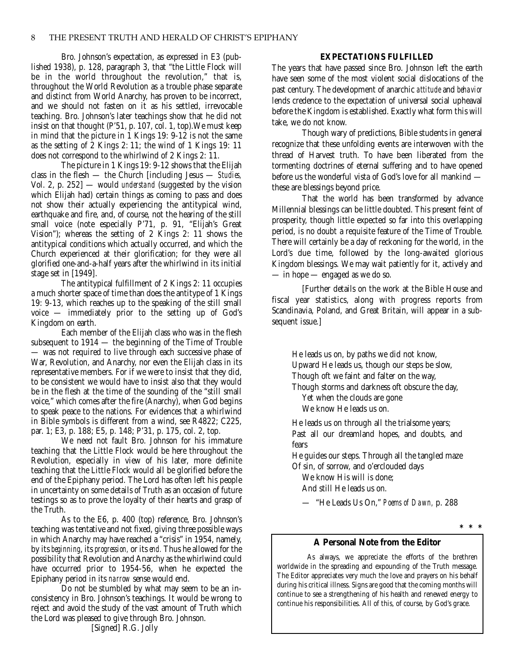Bro. Johnson's expectation, as expressed in E3 (published 1938), p. 128, paragraph 3, that "the Little Flock will be in the world throughout the revolution," that is, throughout the World Revolution as a trouble phase separate and distinct from World Anarchy, has proven to be incorrect, and we should not fasten on it as his settled, irrevocable teaching. Bro. Johnson's later teachings show that he did not insist on that thought (P'51, p. 107, col. 1, top).We must keep in mind that the picture in 1 Kings 19: 9-12 is not the same as the setting of 2 Kings 2: 11; the wind of 1 Kings 19: 11 does not correspond to the whirlwind of 2 Kings 2: 11.

The picture in 1 Kings 19: 9-12 shows that the Elijah class in the flesh — the Church [including Jesus — *Studies,* Vol. 2, p. 252] — would *understand* (suggested by the vision which Elijah had) certain things as coming to pass and does not show their actually experiencing the antitypical wind, earthquake and fire, and, of course, not the hearing of the still small voice (note especially P'71, p. 91, "Elijah's Great Vision"); whereas the setting of 2 Kings 2: 11 shows the antitypical conditions which actually occurred, and which the Church experienced at their glorification; for they were all glorified one-and-a-half years after the whirlwind in its initial stage set in [1949].

The antitypical fulfillment of 2 Kings 2: 11 occupies a much shorter space of time than does the antitype of 1 Kings 19: 9-13, which reaches up to the speaking of the still small voice — immediately prior to the setting up of God's Kingdom on earth.

Each member of the Elijah class who was in the flesh subsequent to 1914 — the beginning of the Time of Trouble — was not required to live through each successive phase of War, Revolution, and Anarchy, nor even the Elijah class in its representative members. For if we were to insist that they did, to be consistent we would have to insist also that they would be in the flesh at the time of the sounding of the "still small voice," which comes after the fire (Anarchy), when God begins to speak peace to the nations. For evidences that a whirlwind in Bible symbols is different from a wind, see R4822; C225, par. 1; E3, p. 188; E5, p. 148; P'31, p. 175, col. 2, top.

We need not fault Bro. Johnson for his immature teaching that the Little Flock would be here throughout the Revolution, especially in view of his later, more definite teaching that the Little Flock would all be glorified before the end of the Epiphany period. The Lord has often left his people in uncertainty on some details of Truth as an occasion of future testings so as to prove the loyalty of their hearts and grasp of the Truth.

As to the E6, p. 400 (top) reference, Bro. Johnson's teaching was tentative and not fixed, giving three possible ways in which Anarchy may have reached a "crisis" in 1954, namely, by its *beginning*, its *progression,* or its *end.* Thus he allowed for the possibility that Revolution and Anarchy as the whirlwind could have occurred prior to 1954-56, when he expected the Epiphany period in its *narrow* sense would end.

Do not be stumbled by what may seem to be an inconsistency in Bro. Johnson's teachings. It would be wrong to reject and avoid the study of the vast amount of Truth which the Lord was pleased to give through Bro. Johnson.

#### **EXPECTATIONS FULFILLED**

The years that have passed since Bro. Johnson left the earth have seen some of the most violent social dislocations of the past century. The development of anarchic *attitude* and *behavior* lends credence to the expectation of universal social upheaval before the Kingdom is established. Exactly what form this will take, we do not know.

Though wary of predictions, Bible students in general recognize that these unfolding events are interwoven with the thread of Harvest truth. To have been liberated from the tormenting doctrines of eternal suffering and to have opened before us the wonderful vista of God's love for all mankind these are blessings beyond price.

That the world has been transformed by advance Millennial blessings can be little doubted. This present feint of prosperity, though little expected so far into this overlapping period, is no doubt a requisite feature of the Time of Trouble. There will certainly be a day of reckoning for the world, in the Lord's due time, followed by the long-awaited glorious Kingdom blessings. We may wait patiently for it, actively and — in hope — engaged as we do so.

[Further details on the work at the Bible House and fiscal year statistics, along with progress reports from Scandinavia, Poland, and Great Britain, will appear in a subsequent issue.]

He leads us on, by paths we did not know, Upward He leads us, though our steps be slow, Though oft we faint and falter on the way,

Though storms and darkness oft obscure the day,

Yet when the clouds are gone

We know He leads us on.

He leads us on through all the trialsome years; Past all our dreamland hopes, and doubts, and fears

He guides our steps. Through all the tangled maze Of sin, of sorrow, and o'erclouded days

We know His will is done;

And still He leads us on.

— "He Leads Us On," *Poems of Dawn,* p. 288

**\*\*\***

#### **A Personal Note from the Editor**

As always, we appreciate the efforts of the brethren worldwide in the spreading and expounding of the Truth message. The Editor appreciates very much the love and prayers on his behalf during his critical illness. Signs are good that the coming months will continue to see a strengthening of his health and renewed energy to continue his responsibilities. All of this, of course, by God's grace.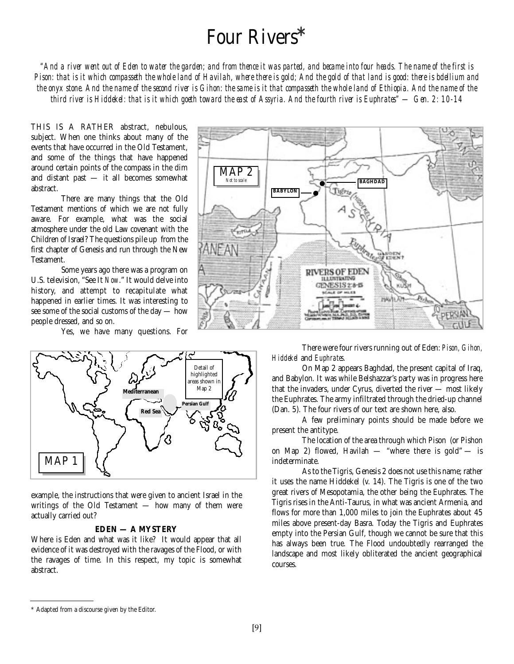## Four Rivers**\***

*"And a river went out of Eden to water the garden; and from thence it was parted, and became into four heads. The name of the first is Pison: that is it which compasseth the whole land of Havilah, where there is gold; And the gold of that land is good: there is bdellium and the onyx stone. And the name of the second river is Gihon: the same is it that compasseth the whole land of Ethiopia. And the name of the third river is Hiddekel: that is it which goeth toward the east of Assyria. And the fourth river is Euphrates" — Gen. 2: 10-14*

THIS IS A RATHER abstract, nebulous, subject. When one thinks about many of the events that have occurred in the Old Testament, and some of the things that have happened around certain points of the compass in the dim and distant past — it all becomes somewhat abstract.

There are many things that the Old Testament mentions of which we are not fully aware. For example, what was the social atmosphere under the old Law covenant with the Children of Israel? The questions pile up from the first chapter of Genesis and run through the New Testament.

Some years ago there was a program on U.S. television, "See It *Now*." It would delve into history, and attempt to recapitulate what happened in earlier times. It was interesting to see some of the social customs of the day — how people dressed, and so on.

Yes, we have many questions. For



example, the instructions that were given to ancient Israel in the writings of the Old Testament — how many of them were actually carried out?

#### **EDEN — A MYSTERY**

Where is Eden and what was it like? It would appear that all evidence of it was destroyed with the ravages of the Flood, or with the ravages of time. In this respect, my topic is somewhat abstract.



There were four rivers running out of Eden: *Pison, Gihon, Hiddekel* and *Euphrates.*

On Map 2 appears Baghdad, the present capital of Iraq, and Babylon. It was while Belshazzar's party was in progress here that the invaders, under Cyrus, diverted the river — most likely the Euphrates. The army infiltrated through the dried-up channel (Dan. 5). The four rivers of our text are shown here, also.

A few preliminary points should be made before we present the antitype.

The location of the area through which Pison (or Pishon on Map 2) flowed, Havilah — "where there is gold" — is indeterminate.

As to the Tigris, Genesis 2 does not use this name; rather it uses the name Hiddekel (v. 14). The Tigris is one of the two great rivers of Mesopotamia, the other being the Euphrates. The Tigris rises in the Anti-Taurus, in what was ancient Armenia, and flows for more than 1,000 miles to join the Euphrates about 45 miles above present-day Basra. Today the Tigris and Euphrates empty into the Persian Gulf, though we cannot be sure that this has always been true. The Flood undoubtedly rearranged the landscape and most likely obliterated the ancient geographical courses.

<sup>\*</sup> Adapted from a discourse given by the Editor.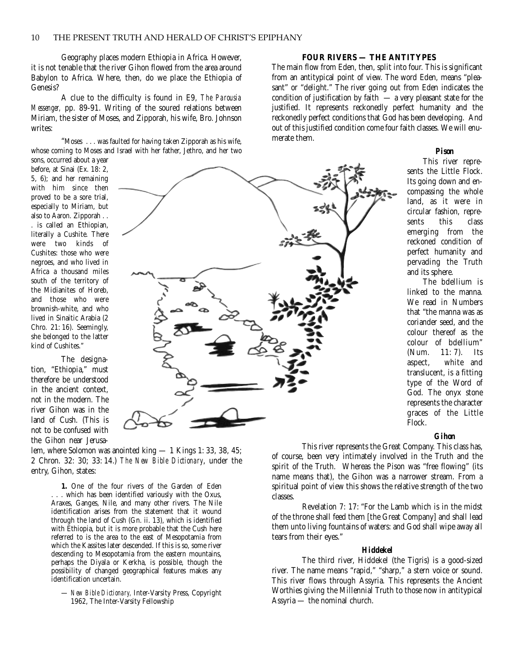Geography places modern Ethiopia in Africa. However, it is not tenable that the river Gihon flowed from the area around Babylon to Africa. Where, then, do we place the Ethiopia of Genesis?

A clue to the difficulty is found in E9, *The Parousia Messenger,* pp. 89-91. Writing of the soured relations between Miriam, the sister of Moses, and Zipporah, his wife, Bro. Johnson writes:

"Moses . . . was faulted for having taken Zipporah as his wife, whose coming to Moses and Israel with her father, Jethro, and her two

sons, occurred about a year before, at Sinai (Ex. 18: 2, 5, 6); and her remaining with him since then proved to be a sore trial, especially to Miriam, but also to Aaron. Zipporah . . . is called an Ethiopian, literally a Cushite. There were two kinds of Cushites: those who were negroes, and who lived in Africa a thousand miles south of the territory of the Midianites of Horeb, and those who were brownish-white, and who lived in Sinaitic Arabia (2 Chro. 21: 16). Seemingly, she belonged to the latter kind of Cushites."

The designation, "Ethiopia," must therefore be understood in the ancient context not in the modern. The river Gihon was in the land of Cush. (This is not to be confused with the Gihon near Jerusa-

lem, where Solomon was anointed king — 1 Kings 1: 33, 38, 45; 2 Chron. 32: 30; 33: 14.) *The New Bible Dictionary*, under the entry, Gihon, states:

**1.** One of the four rivers of the Garden of Eden . which has been identified variously with the Oxus, Araxes, Ganges, Nile, and many other rivers. The Nile identification arises from the statement that it wound through the land of Cush (Gn. ii. 13), which is identified with Ethiopia, but it is more probable that the Cush here referred to is the area to the east of Mesopotamia from which the Kassites later descended. If this is so, some river descending to Mesopotamia from the eastern mountains, perhaps the Diyala or Kerkha, is possible, though the possibility of changed geographical features makes any identification uncertain.

— *New Bible Dictionary,* Inter-Varsity Press, Copyright 1962, The Inter-Varsity Fellowship

#### **FOUR RIVERS — THE ANTITYPES**

The main flow from Eden, then, split into four. This is significant from an antitypical point of view. The word Eden, means "pleasant" or "delight." The river going out from Eden indicates the condition of justification by faith  $-$  a very pleasant state for the justified. It represents reckonedly perfect humanity and the reckonedly perfect conditions that God has been developing. And out of this justified condition come four faith classes. We will enumerate them.

#### *Pison*

This river represents the Little Flock. Its going down and encompassing the whole land, as it were in circular fashion, represents this class emerging from the reckoned condition of perfect humanity and pervading the Truth and its sphere.

The bdellium is linked to the manna. We read in Numbers that "the manna was as coriander seed, and the colour thereof as the colour of bdellium" (Num. 11: 7). Its aspect, white and translucent, is a fitting type of the Word of God. The onyx stone represents the character graces of the Little Flock.

#### *Gihon*

This river represents the Great Company. This class has, of course, been very intimately involved in the Truth and the spirit of the Truth. Whereas the Pison was "free flowing" (its name means that), the Gihon was a narrower stream. From a spiritual point of view this shows the relative strength of the two classes.

Revelation 7: 17: "For the Lamb which is in the midst of the throne shall feed them [the Great Company] and shall lead them unto living fountains of waters: and God shall wipe away all tears from their eyes."

#### *Hiddekel*

The third river, Hiddekel (the Tigris) is a good-sized river. The name means "rapid," "sharp," a stern voice or sound. This river flows through Assyria. This represents the Ancient Worthies giving the Millennial Truth to those now in antitypical Assyria — the nominal church.

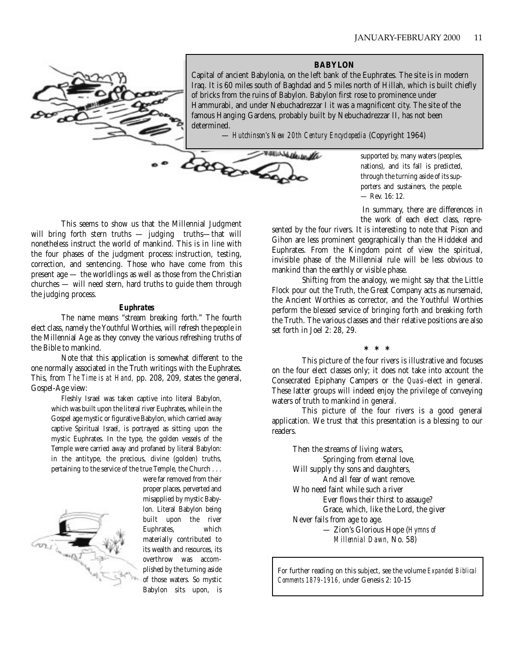**BABYLON** Capital of ancient Babylonia, on the left bank of the Euphrates. The site is in modern Iraq. It is 60 miles south of Baghdad and 5 miles north of Hillah, which is built chiefly of bricks from the ruins of Babylon. Babylon first rose to prominence under Hammurabi, and under Nebuchadrezzar I it was a magnificent city. The site of the famous Hanging Gardens, probably built by Nebuchadrezzar II, has not been determined.

— *Hutchinson's New 20th Century Encyclopedia* (Copyright 1964)



supported by, many waters (peoples, nations), and its fall is predicted, through the turning aside of its supporters and sustainers, the people. — Rev. 16: 12.

In summary, there are differences in the work of each elect class, repre-

This seems to show us that the Millennial Judgment will bring forth stern truths — judging truths—that will nonetheless instruct the world of mankind. This is in line with the four phases of the judgment process: instruction, testing, correction, and sentencing. Those who have come from this present age — the worldlings as well as those from the Christian churches — will need stern, hard truths to guide them through the judging process.

#### *Euphrates*

The name means "stream breaking forth." The fourth elect class, namely the Youthful Worthies, will refresh the people in the Millennial Age as they convey the various refreshing truths of the Bible to mankind.

Note that this application is somewhat different to the one normally associated in the Truth writings with the Euphrates. This, from *The Time is at Hand,* pp. 208, 209, states the general, Gospel-Age view:

Fleshly Israel was taken captive into literal Babylon, which was built upon the literal river Euphrates, while in the Gospel age mystic or figurative Babylon, which carried away captive Spiritual Israel, is portrayed as sitting upon the mystic Euphrates. In the type, the golden vessels of the Temple were carried away and profaned by literal Babylon: in the antitype, the precious, divine (golden) truths, pertaining to the service of the true Temple, the Church . . .



were far removed from their proper places, perverted and misapplied by mystic Babylon. Literal Babylon being built upon the river Euphrates, which materially contributed to its wealth and resources, its overthrow was accomplished by the turning aside of those waters. So mystic Babylon sits upon, is sented by the four rivers. It is interesting to note that Pison and Gihon are less prominent geographically than the Hiddekel and Euphrates. From the Kingdom point of view the spiritual, invisible phase of the Millennial rule will be less obvious to mankind than the earthly or visible phase.

Shifting from the analogy, we might say that the Little Flock pour out the Truth, the Great Company acts as nursemaid, the Ancient Worthies as corrector, and the Youthful Worthies perform the blessed service of bringing forth and breaking forth the Truth. The various classes and their relative positions are also set forth in Joel 2: 28, 29.

**\*\*\***

This picture of the four rivers is illustrative and focuses on the four elect classes only; it does not take into account the Consecrated Epiphany Campers or the *Quasi*-elect in general. These latter groups will indeed enjoy the privilege of conveying waters of truth to mankind in general.

This picture of the four rivers is a good general application. We trust that this presentation is a blessing to our readers.

Then the streams of living waters, Springing from eternal love, Will supply thy sons and daughters. And all fear of want remove. Who need faint while such a river Ever flows their thirst to assauge? Grace, which, like the Lord, the giver Never fails from age to age. — Zion's Glorious Hope (*Hymns of Millennial Dawn,* No. 58)

For further reading on this subject, see the volume *Expanded Biblical Comments 1879-1916,* under Genesis 2: 10-15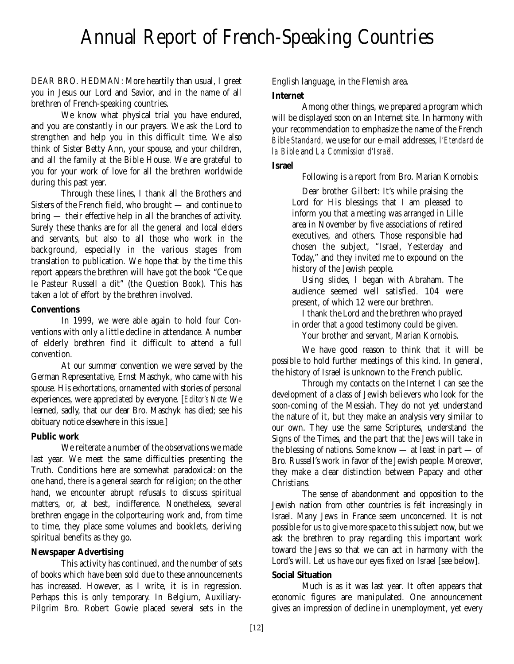## Annual Report of French-Speaking Countries

DEAR BRO. HEDMAN: More heartily than usual, I greet you in Jesus our Lord and Savior, and in the name of all brethren of French-speaking countries.

We know what physical trial you have endured, and you are constantly in our prayers. We ask the Lord to strengthen and help you in this difficult time. We also think of Sister Betty Ann, your spouse, and your children, and all the family at the Bible House. We are grateful to you for your work of love for all the brethren worldwide during this past year.

Through these lines, I thank all the Brothers and Sisters of the French field, who brought — and continue to bring — their effective help in all the branches of activity. Surely these thanks are for all the general and local elders and servants, but also to all those who work in the background, especially in the various stages from translation to publication. We hope that by the time this report appears the brethren will have got the book "Ce que le Pasteur Russell a dit" (the Question Book). This has taken a lot of effort by the brethren involved.

#### **Conventions**

In 1999, we were able again to hold four Conventions with only a little decline in attendance. A number of elderly brethren find it difficult to attend a full convention.

At our summer convention we were served by the German Representative, Ernst Maschyk, who came with his spouse. His exhortations, ornamented with stories of personal experiences, were appreciated by everyone. [*Editor's Note:* We learned, sadly, that our dear Bro. Maschyk has died; see his obituary notice elsewhere in this issue.]

#### **Public work**

We reiterate a number of the observations we made last year. We meet the same difficulties presenting the Truth. Conditions here are somewhat paradoxical: on the one hand, there is a general search for religion; on the other hand, we encounter abrupt refusals to discuss spiritual matters, or, at best, indifference. Nonetheless, several brethren engage in the colporteuring work and, from time to time, they place some volumes and booklets, deriving spiritual benefits as they go.

#### **Newspaper Advertising**

This activity has continued, and the number of sets of books which have been sold due to these announcements has increased. However, as I write, it is in regression. Perhaps this is only temporary. In Belgium, Auxiliary-Pilgrim Bro. Robert Gowie placed several sets in the English language, in the Flemish area.

#### **Internet**

Among other things, we prepared a program which will be displayed soon on an Internet site. In harmony with your recommendation to emphasize the name of the French *Bible Standard,* we use for our e-mail addresses, *l'Etendard de la Bible* and *La Commission d'Israël.*

#### **Israel**

Following is a report from Bro. Marian Kornobis:

Dear brother Gilbert: It's while praising the Lord for His blessings that I am pleased to inform you that a meeting was arranged in Lille area in November by five associations of retired executives, and others. Those responsible had chosen the subject, "Israel, Yesterday and Today," and they invited me to expound on the history of the Jewish people.

Using slides, I began with Abraham. The audience seemed well satisfied. 104 were present, of which 12 were our brethren.

I thank the Lord and the brethren who prayed in order that a good testimony could be given.

Your brother and servant, Marian Kornobis.

We have good reason to think that it will be possible to hold further meetings of this kind. In general, the history of Israel is unknown to the French public.

Through my contacts on the Internet I can see the development of a class of Jewish believers who look for the soon-coming of the Messiah. They do not yet understand the nature of it, but they make an analysis very similar to our own. They use the same Scriptures, understand the Signs of the Times, and the part that the Jews will take in the blessing of nations. Some know — at least in part — of Bro. Russell's work in favor of the Jewish people. Moreover, they make a clear distinction between Papacy and other Christians.

The sense of abandonment and opposition to the Jewish nation from other countries is felt increasingly in Israel. Many Jews in France seem unconcerned. It is not possible for us to give more space to this subject now, but we ask the brethren to pray regarding this important work toward the Jews so that we can act in harmony with the Lord's will. Let us have our eyes fixed on Israel [see below].

#### **Social Situation**

Much is as it was last year. It often appears that economic figures are manipulated. One announcement gives an impression of decline in unemployment, yet every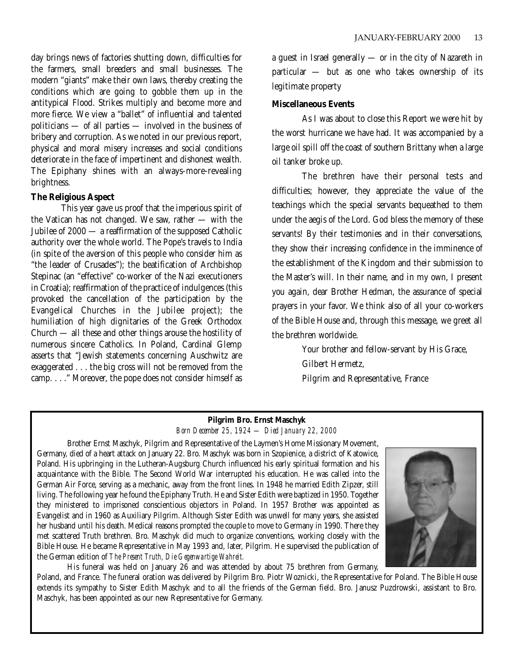day brings news of factories shutting down, difficulties for the farmers, small breeders and small businesses. The modern "giants" make their own laws, thereby creating the conditions which are going to gobble them up in the antitypical Flood. Strikes multiply and become more and more fierce. We view a "ballet" of influential and talented politicians — of all parties — involved in the business of bribery and corruption. As we noted in our previous report, physical and moral misery increases and social conditions deteriorate in the face of impertinent and dishonest wealth. The Epiphany shines with an always-more-revealing brightness.

#### **The Religious Aspect**

This year gave us proof that the imperious spirit of the Vatican has not changed. We saw, rather — with the Jubilee of 2000 — a reaffirmation of the supposed Catholic authority over the whole world. The Pope's travels to India (in spite of the aversion of this people who consider him as "the leader of Crusades"); the beatification of Archbishop Stepinac (an "effective" co-worker of the Nazi executioners in Croatia); reaffirmation of the practice of indulgences (this provoked the cancellation of the participation by the Evangelical Churches in the Jubilee project); the humiliation of high dignitaries of the Greek Orthodox Church — all these and other things arouse the hostility of numerous sincere Catholics. In Poland, Cardinal Glemp asserts that "Jewish statements concerning Auschwitz are exaggerated . . . the big cross will not be removed from the camp. . . ." Moreover, the pope does not consider himself as a guest in Israel generally — or in the city of Nazareth in particular — but as one who takes ownership of its legitimate property

#### **Miscellaneous Events**

As I was about to close this Report we were hit by the worst hurricane we have had. It was accompanied by a large oil spill off the coast of southern Brittany when a large oil tanker broke up.

The brethren have their personal tests and difficulties; however, they appreciate the value of the teachings which the special servants bequeathed to them under the aegis of the Lord. God bless the memory of these servants! By their testimonies and in their conversations, they show their increasing confidence in the imminence of the establishment of the Kingdom and their submission to the Master's will. In their name, and in my own, I present you again, dear Brother Hedman, the assurance of special prayers in your favor. We think also of all your co-workers of the Bible House and, through this message, we greet all the brethren worldwide.

> Your brother and fellow-servant by His Grace, Gilbert Hermetz, Pilgrim and Representative, France

#### **Pilgrim Bro. Ernst Maschyk** *Born December 25, 1924 — Died January 22, 2000*

Brother Ernst Maschyk, Pilgrim and Representative of the Laymen's Home Missionary Movement, Germany, died of a heart attack on January 22. Bro. Maschyk was born in Szopienice, a district of Katowice, Poland. His upbringing in the Lutheran-Augsburg Church influenced his early spiritual formation and his acquaintance with the Bible. The Second World War interrupted his education. He was called into the German Air Force, serving as a mechanic, away from the front lines. In 1948 he married Edith Zipzer, still living. The following year he found the Epiphany Truth. He and Sister Edith were baptized in 1950. Together they ministered to imprisoned conscientious objectors in Poland. In 1957 Brother was appointed as Evangelist and in 1960 as Auxiliary Pilgrim. Although Sister Edith was unwell for many years, she assisted her husband until his death. Medical reasons prompted the couple to move to Germany in 1990. There they met scattered Truth brethren. Bro. Maschyk did much to organize conventions, working closely with the Bible House. He became Representative in May 1993 and, later, Pilgrim. He supervised the publication of the German edition of *The Present Truth, Die Gegenwartige Wahreit.*



His funeral was held on January 26 and was attended by about 75 brethren from Germany, Poland, and France. The funeral oration was delivered by Pilgrim Bro. Piotr Woznicki, the Representative for Poland. The Bible House extends its sympathy to Sister Edith Maschyk and to all the friends of the German field. Bro. Janusz Puzdrowski, assistant to Bro. Maschyk, has been appointed as our new Representative for Germany.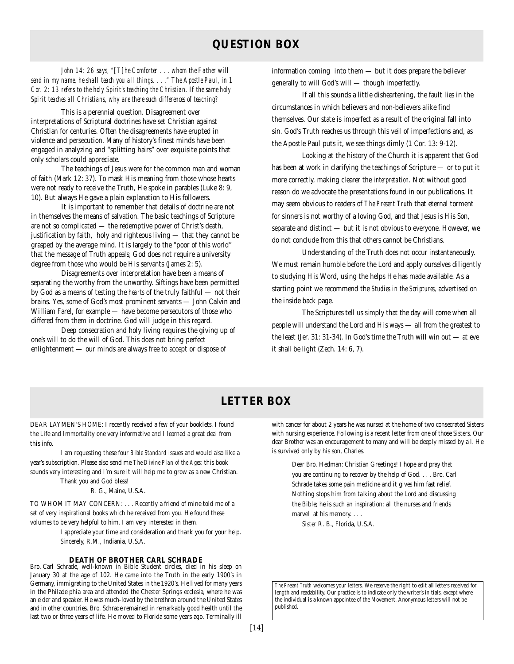### **QUESTION BOX**

*John 14: 26 says, "[T]he Comforter . . . whom the Father will send in my name, he shall teach you all things. . . ." The Apostle Paul, in 1 Cor. 2: 13 refers to the holy Spirit's teaching the Christian. If the same holy Spirit teaches all Christians, why are there such differences of teaching?*

This is a perennial question. Disagreement over interpretations of Scriptural doctrines have set Christian against Christian for centuries. Often the disagreements have erupted in violence and persecution. Many of history's finest minds have been engaged in analyzing and "splitting hairs" over exquisite points that only scholars could appreciate.

The teachings of Jesus were for the common man and woman of faith (Mark 12: 37). To mask His meaning from those whose hearts were not ready to receive the Truth, He spoke in parables (Luke 8: 9, 10). But always He gave a plain explanation to His followers.

It is important to remember that details of doctrine are not in themselves the means of salvation. The basic teachings of Scripture are not so complicated — the redemptive power of Christ's death, justification by faith, holy and righteous living — that they cannot be grasped by the average mind. It is largely to the "poor of this world" that the message of Truth appeals; God does not require a university degree from those who would be His servants (James 2: 5).

Disagreements over interpretation have been a means of separating the worthy from the unworthy. Siftings have been permitted by God as a means of testing the *hearts* of the truly faithful — not their brains. Yes, some of God's most prominent servants — John Calvin and William Farel, for example — have become persecutors of those who differed from them in doctrine. God will judge in this regard.

Deep consecration and holy living requires the giving up of one's will to do the will of God. This does not bring perfect enlightenment — our minds are always free to accept or dispose of

information coming into them — but it does prepare the believer generally to will God's will — though imperfectly.

If all this sounds a little disheartening, the fault lies in the circumstances in which believers and non-believers alike find themselves. Our state is imperfect as a result of the original fall into sin. God's Truth reaches us through this veil of imperfections and, as the Apostle Paul puts it, we see things dimly (1 Cor. 13: 9-12).

Looking at the history of the Church it is apparent that God has been at work in clarifying the teachings of Scripture — or to put it more correctly, making clearer the *interpretation.* Not without good reason do we advocate the presentations found in our publications. It may seem obvious to readers of *The Present Truth* that eternal torment for sinners is not worthy of a loving God, and that Jesus is His Son, separate and distinct — but it is not obvious to everyone. However, we do not conclude from this that others cannot be Christians.

Understanding of the Truth does not occur instantaneously. We must remain humble before the Lord and apply ourselves diligently to studying His Word, using the helps He has made available. As a starting point we recommend the *Studies in the Scriptures,* advertised on the inside back page.

The Scriptures tell us simply that the day will come when all people will understand the Lord and His ways — all from the greatest to the least (Jer. 31: 31-34). In God's time the Truth will win out — at eve it shall be light (Zech. 14: 6, 7).

### **LETTER BOX**

DEAR LAYMEN'S HOME: I recently received a few of your booklets. I found the Life and Immortality one very informative and I learned a great deal from this info.

I am requesting these four *Bible Standard* issues and would also like a year's subscription. Please also send me *The Divine Plan of the Ages;* this book sounds very interesting and I'm sure it will help me to grow as a new Christian. Thank you and God bless!

R. G., Maine, U.S.A.

TO WHOM IT MAY CONCERN: . . . Recently a friend of mine told me of a set of very inspirational books which he received from you. He found these volumes to be very helpful to him. I am very interested in them.

> I appreciate your time and consideration and thank you for your help. Sincerely, R.M., Indiania, U.S.A.

**DEATH OF BROTHER CARL SCHRADE** Bro. Carl Schrade, well-known in Bible Student circles, died in his sleep on January 30 at the age of 102. He came into the Truth in the early 1900's in Germany, immigrating to the United States in the 1920's. He lived for many years in the Philadelphia area and attended the Chester Springs ecclesia, where he was an elder and speaker. He was much-loved by the brethren around the United States and in other countries. Bro. Schrade remained in remarkably good health until the last two or three years of life. He moved to Florida some years ago. Terminally ill

with cancer for about 2 years he was nursed at the home of two consecrated Sisters with nursing experience. Following is a recent letter from one of those Sisters. Our dear Brother was an encouragement to many and will be deeply missed by all. He is survived only by his son, Charles.

Dear Bro. Hedman: Christian Greetings! I hope and pray that you are continuing to recover by the help of God. . . . Bro. Carl Schrade takes some pain medicine and it gives him fast relief. Nothing stops him from talking about the Lord and discussing the Bible; he is such an inspiration; all the nurses and friends marvel at his memory. . . .

Sister R. B., Florida, U.S.A.

*The Present Truth* welcomes your letters. We reserve the right to edit all letters received for length and readability. Our practice is to indicate only the writer's initials, except where the individual is a known appointee of the Movement. Anonymous letters will not be published.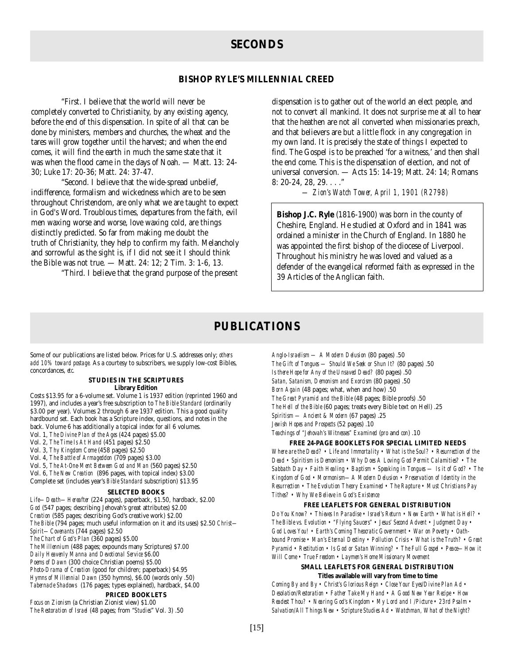#### **SECONDS**

#### **BISHOP RYLE'S MILLENNIAL CREED**

"First. I believe that the world will never be completely converted to Christianity, by any existing agency, before the end of this dispensation. In spite of all that can be done by ministers, members and churches, the wheat and the tares will grow together until the harvest; and when the end comes, it will find the earth in much the same state that it was when the flood came in the days of Noah. — Matt. 13: 24- 30; Luke 17: 20-36; Matt. 24: 37-47.

"Second. I believe that the wide-spread unbelief, indifference, formalism and wickedness which are to be seen throughout Christendom, are only what we are taught to expect in God's Word. Troublous times, departures from the faith, evil men waxing worse and worse, love waxing cold, are things distinctly predicted. So far from making me doubt the truth of Christianity, they help to confirm my faith. Melancholy and sorrowful as the sight is, if I did not see it I should think the Bible was not true. — Matt. 24: 12; 2 Tim. 3: 1-6, 13.

"Third. I believe that the grand purpose of the present

dispensation is to gather out of the world an elect people, and not to convert all mankind. It does not surprise me at all to hear that the heathen are not all converted when missionaries preach, and that believers are but a little flock in any congregation in my own land. It is precisely the state of things I expected to find. The Gospel is to be preached 'for a witness,' and then shall the end come. This is the dispensation of election, and not of universal conversion. — Acts 15: 14-19; Matt. 24: 14; Romans 8: 20-24, 28, 29. . . ."

*— Zion's Watch Tower, April 1, 1901 (R2798)*

**Bishop J.C. Ryle** (1816-1900) was born in the county of Cheshire, England. He studied at Oxford and in 1841 was ordained a minister in the Church of England. In 1880 he was appointed the first bishop of the diocese of Liverpool. Throughout his ministry he was loved and valued as a defender of the evangelical reformed faith as expressed in the 39 Articles of the Anglican faith.

#### **PUBLICATIONS**

Some of our publications are listed below. Prices for U.S. addresses only; *others add 10% toward postage.* As a courtesy to subscribers, we supply low-cost Bibles, concordances, *etc*.

#### **STUDIES IN THE SCRIPTURES Library Edition**

Costs \$13.95 for a 6-volume set. Volume 1 is 1937 edition (reprinted 1960 and 1997), and includes a year's free subscription to *The Bible Standard* (ordinarily \$3.00 per year). Volumes 2 through 6 are 1937 edition. This a good quality hardbound set. Each book has a Scripture index, questions, and notes in the back. Volume 6 has additionally a topical index for all 6 volumes. Vol. 1, *The Divine Plan of the Ages* (424 pages) \$5.00 Vol. 2, *The Time Is At Hand* (451 pages) \$2.50

- Vol. 3, *Thy Kingdom Come* (458 pages) \$2.50
- Vol. 4, *The Battle of Armageddon* (709 pages) \$3.00
- Vol. 5, *The At-One-Ment Between God and Man* (560 pages) \$2.50

Vol. 6, *The New Creation* (896 pages, with topical index) \$3.00 Complete set (includes year's *Bible Standard* subscription) \$13.95

#### **SELECTED BOOKS**

*Life—Death—Hereafter* (224 pages), paperback, \$1.50, hardback, \$2.00 *God* (547 pages; describing Jehovah's great attributes) \$2.00 *Creation* (585 pages; describing God's creative work) \$2.00 *The Bible* (794 pages; much useful information on it and its uses) \$2.50 *Christ— Spirit—Covenants* (744 pages) \$2.50 *The Chart of God's Plan* (360 pages) \$5.00 *The Millennium* (488 pages; expounds many Scriptures) \$7.00 *Daily Heavenly Manna and Devotional Service* \$6.00 *Poems of Dawn* (300 choice Christian poems) \$5.00 *Photo-Drama of Creation* (good for children; paperback) \$4.95 *Hymns of Millennial Dawn* (350 hymns), \$6.00 (words only .50) *Tabernacle Shadows* (176 pages; types explained), hardback, \$4.00 **PRICED BOOKLETS** *Focus on Zionism* (a Christian Zionist view) \$1.00 *The Restoration of Israel* (48 pages; from "*Studies*" Vol. 3) .50

*Anglo-Israelism — A Modern Delusion* (80 pages) .50 *The Gift of Tongues — Should We Seek or Shun It?* (80 pages) .50 *Is there Hope for Any of the Unsaved Dead?* (80 pages) .50 *Satan, Satanism, Demonism and Exorcism* (80 pages) .50 *Born Again* (48 pages; what, when and how) .50 *The Great Pyramid and the Bible* (48 pages; Bible proofs) .50 *The Hell of the Bible* (60 pages; treats every Bible text on Hell) .25 *Spiritism — Ancient & Modern* (67 pages) .25 *Jewish Hopes and Prospects* (52 pages) .10 *Teachings of "Jehovah's Witnesses" Examined* (*pro* and *con*) .10

#### **FREE 24-PAGE BOOKLETS FOR SPECIAL LIMITED NEEDS**

*Where are the Dead? • Life and Immortality • What is the Soul? • Resurrection of the Dead • Spiritism is Demonism • Why Does A Loving God Permit Calamities? • The Sabbath Day • Faith Healing • Baptism • Speaking in Tongues — Is it of God? • The Kingdom of God • Mormonism—A Modern Delusion • Preservation of Identity in the Resurrection • The Evolution Theory Examined • The Rapture • Must Christians Pay Tithes? • Why We Believe in God's Existence*

#### **FREE LEAFLETS FOR GENERAL DISTRIBUTION**

*Do You Know? • Thieves In Paradise • Israel's Return • New Earth • What is Hell? • The Bible vs. Evolution • "Flying Saucers" • Jesus' Second Advent • Judgment Day • God Loves You! • Earth's Coming Theocratic Government • War on Poverty • Oathbound Promise • Man's Eternal Destiny • Pollution Crisis • What is the Truth? • Great Pyramid • Restitution • Is God or Satan Winning? • The Full Gospel • Peace—How it Will Come • True Freedom • Laymen's Home Missionary Movement*

#### **SMALL LEAFLETS FOR GENERAL DISTRIBUTION Titles available will vary from time to time**

*Coming By and By • Christ's Glorious Reign • Close Your Eyes/Divine Plan Ad • Desolation/Restoration • Father Take My Hand • A Good New Year Recipe • How Readest Thou? • Nearing God's Kingdom • My Lord and I /Picture • 23rd Psalm • Salvation/All Things New • Scripture Studies Ad • Watchman, What of the Night?*